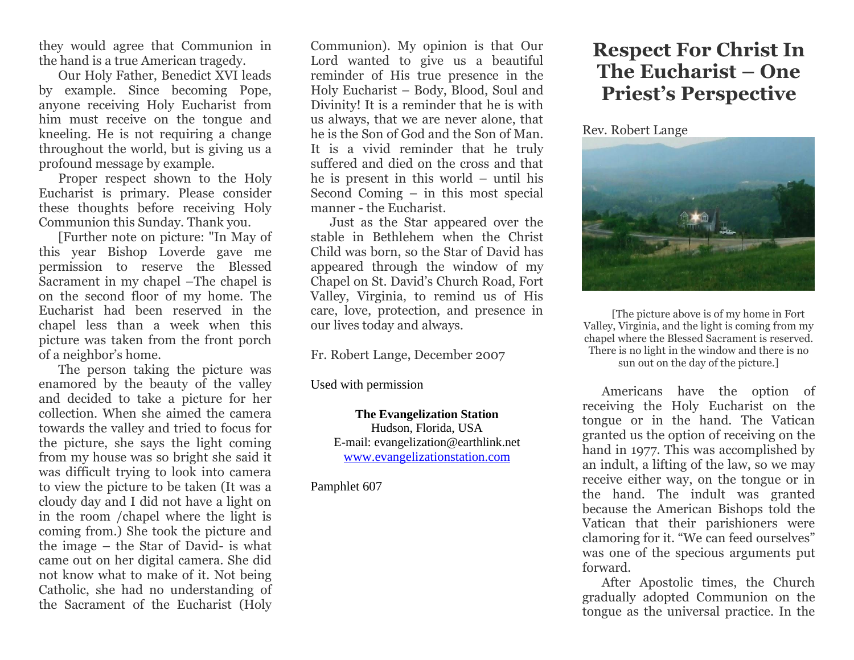they would agree that Communion in the hand is a true American tragedy.

Our Holy Father, Benedict XVI leads by example. Since becoming Pope, anyone receiving Holy Eucharist from him must receive on the tongue and kneeling. He is not requiring a change throughout the world, but is giving us a profound message by example.

Proper respect shown to the Holy Eucharist is primary. Please consider these thoughts before receiving Holy Communion this Sunday. Thank you.

[Further note on picture: "In May of this year Bishop Loverde gave me permission to reserve the Blessed Sacrament in my chapel –The chapel is on the second floor of my home. The Eucharist had been reserved in the chapel less than a week when this picture was taken from the front porch of a neighbor's home.

The person taking the picture was enamored by the beauty of the valley and decided to take a picture for her collection. When she aimed the camera towards the valley and tried to focus for the picture, she says the light coming from my house was so bright she said it was difficult trying to look into camera to view the picture to be taken (It was a cloudy day and I did not have a light on in the room /chapel where the light is coming from.) She took the picture and the image – the Star of David- is what came out on her digital camera. She did not know what to make of it. Not being Catholic, she had no understanding of the Sacrament of the Eucharist (Holy Communion). My opinion is that Our Lord wanted to give us a beautiful reminder of His true presence in the Holy Eucharist – Body, Blood, Soul and Divinity! It is a reminder that he is with us always, that we are never alone, that he is the Son of God and the Son of Man. It is a vivid reminder that he truly suffered and died on the cross and that he is present in this world – until his Second Coming – in this most special manner - the Eucharist.

Just as the Star appeared over the stable in Bethlehem when the Christ Child was born, so the Star of David has appeared through the window of my Chapel on St. David's Church Road, Fort Valley, Virginia, to remind us of His care, love, protection, and presence in our lives today and always.

Fr. Robert Lange, December 2007

Used with permission

**The Evangelization Station** Hudson, Florida, USA E-mail: evangelization@earthlink.net [www.evangelizationstation.com](http://www.pjpiisoe.org/)

Pamphlet 607

## **Respect For Christ In The Eucharist – One Priest's Perspective**

Rev. Robert Lange



[The picture above is of my home in Fort Valley, Virginia, and the light is coming from my chapel where the Blessed Sacrament is reserved. There is no light in the window and there is no sun out on the day of the picture.]

Americans have the option of receiving the Holy Eucharist on the tongue or in the hand. The Vatican granted us the option of receiving on the hand in 1977. This was accomplished by an indult, a lifting of the law, so we may receive either way, on the tongue or in the hand. The indult was granted because the American Bishops told the Vatican that their parishioners were clamoring for it. "We can feed ourselves" was one of the specious arguments put forward.

After Apostolic times, the Church gradually adopted Communion on the tongue as the universal practice. In the